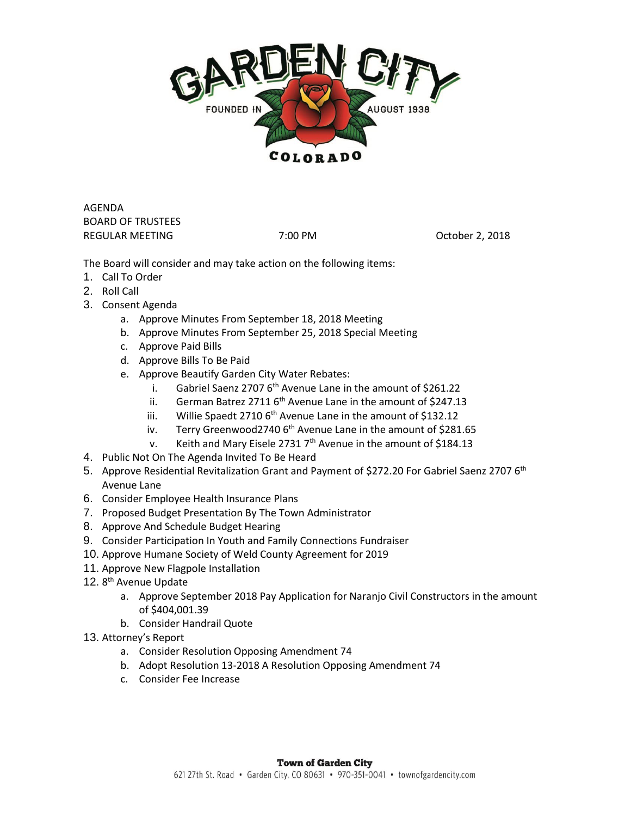

AGENDA BOARD OF TRUSTEES REGULAR MEETING **7:00 PM CONSIDENT PROPERTY** 7:00 PM

The Board will consider and may take action on the following items:

- 1. Call To Order
- 2. Roll Call
- 3. Consent Agenda
	- a. Approve Minutes From September 18, 2018 Meeting
	- b. Approve Minutes From September 25, 2018 Special Meeting
	- c. Approve Paid Bills
	- d. Approve Bills To Be Paid
	- e. Approve Beautify Garden City Water Rebates:
		- i. Gabriel Saenz 2707  $6<sup>th</sup>$  Avenue Lane in the amount of \$261.22
		- ii. German Batrez 2711  $6<sup>th</sup>$  Avenue Lane in the amount of \$247.13
		- iii. Willie Spaedt 2710  $6<sup>th</sup>$  Avenue Lane in the amount of \$132.12
		- iv. Terry Greenwood2740  $6<sup>th</sup>$  Avenue Lane in the amount of \$281.65
		- v. Keith and Mary Eisele 2731  $7<sup>th</sup>$  Avenue in the amount of \$184.13
- 4. Public Not On The Agenda Invited To Be Heard
- 5. Approve Residential Revitalization Grant and Payment of \$272.20 For Gabriel Saenz 2707 6<sup>th</sup> Avenue Lane
- 6. Consider Employee Health Insurance Plans
- 7. Proposed Budget Presentation By The Town Administrator
- 8. Approve And Schedule Budget Hearing
- 9. Consider Participation In Youth and Family Connections Fundraiser
- 10. Approve Humane Society of Weld County Agreement for 2019
- 11. Approve New Flagpole Installation
- 12. 8<sup>th</sup> Avenue Update
	- a. Approve September 2018 Pay Application for Naranjo Civil Constructors in the amount of \$404,001.39
	- b. Consider Handrail Quote
- 13. Attorney's Report
	- a. Consider Resolution Opposing Amendment 74
	- b. Adopt Resolution 13-2018 A Resolution Opposing Amendment 74
	- c. Consider Fee Increase